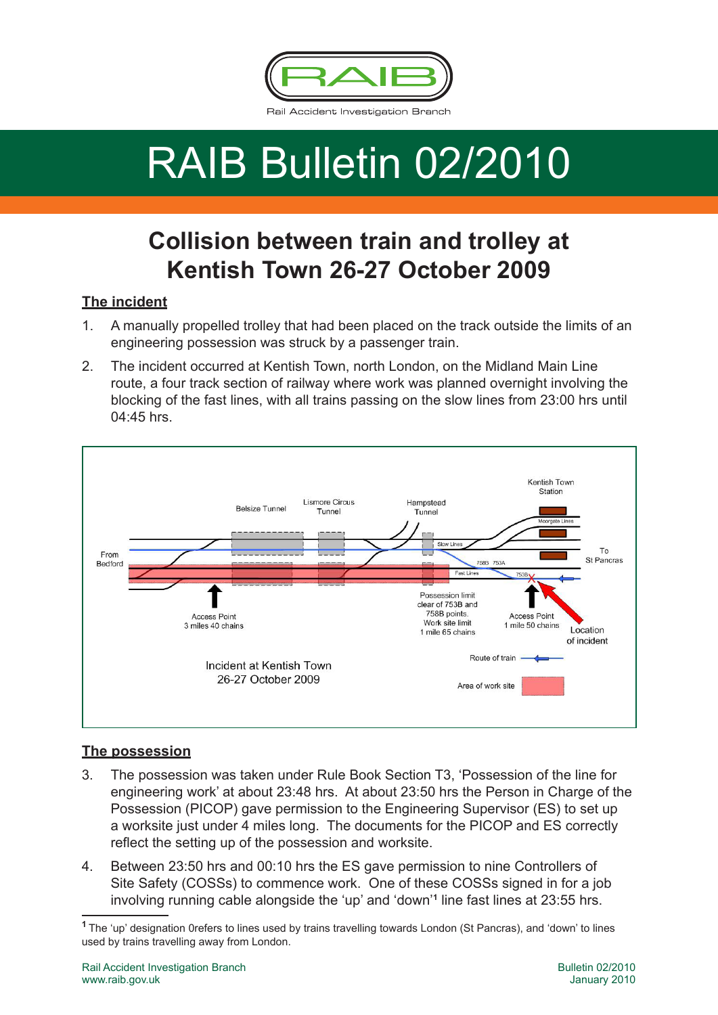

# RAIB Bulletin 02/2010

# **Collision between train and trolley at Kentish Town 26-27 October 2009**

# **The incident**

- 1. A manually propelled trolley that had been placed on the track outside the limits of an engineering possession was struck by a passenger train.
- 2. The incident occurred at Kentish Town, north London, on the Midland Main Line route, a four track section of railway where work was planned overnight involving the blocking of the fast lines, with all trains passing on the slow lines from 23:00 hrs until 04:45 hrs.



## **The possession**

- 3. The possession was taken under Rule Book Section T3, 'Possession of the line for engineering work' at about 23:48 hrs. At about 23:50 hrs the Person in Charge of the Possession (PICOP) gave permission to the Engineering Supervisor (ES) to set up a worksite just under 4 miles long. The documents for the PICOP and ES correctly reflect the setting up of the possession and worksite.
- 4. Between 23:50 hrs and 00:10 hrs the ES gave permission to nine Controllers of Site Safety (COSSs) to commence work. One of these COSSs signed in for a job involving running cable alongside the 'up' and 'down'**<sup>1</sup>** line fast lines at 23:55 hrs.

**<sup>1</sup>**The 'up' designation 0refers to lines used by trains travelling towards London (St Pancras), and 'down' to lines used by trains travelling away from London.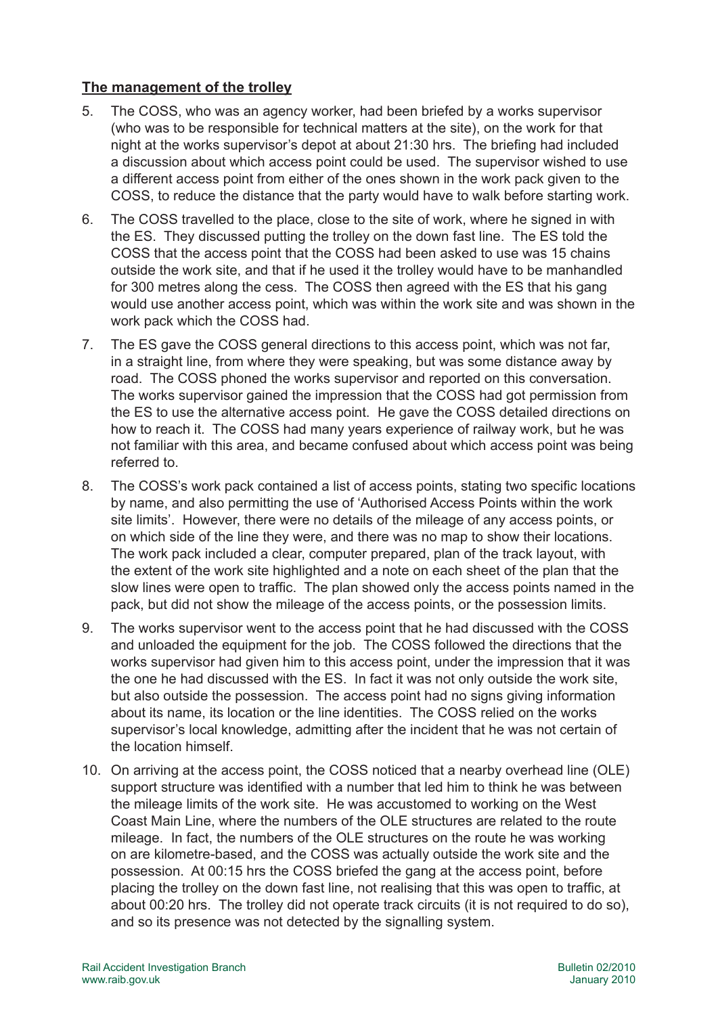## **The management of the trolley**

- 5. The COSS, who was an agency worker, had been briefed by a works supervisor (who was to be responsible for technical matters at the site), on the work for that night at the works supervisor's depot at about 21:30 hrs. The briefing had included a discussion about which access point could be used. The supervisor wished to use a different access point from either of the ones shown in the work pack given to the COSS, to reduce the distance that the party would have to walk before starting work.
- 6. The COSS travelled to the place, close to the site of work, where he signed in with the ES. They discussed putting the trolley on the down fast line. The ES told the COSS that the access point that the COSS had been asked to use was 15 chains outside the work site, and that if he used it the trolley would have to be manhandled for 300 metres along the cess. The COSS then agreed with the ES that his gang would use another access point, which was within the work site and was shown in the work pack which the COSS had.
- 7. The ES gave the COSS general directions to this access point, which was not far, in a straight line, from where they were speaking, but was some distance away by road. The COSS phoned the works supervisor and reported on this conversation. The works supervisor gained the impression that the COSS had got permission from the ES to use the alternative access point. He gave the COSS detailed directions on how to reach it. The COSS had many years experience of railway work, but he was not familiar with this area, and became confused about which access point was being referred to.
- 8. The COSS's work pack contained a list of access points, stating two specific locations by name, and also permitting the use of 'Authorised Access Points within the work site limits'. However, there were no details of the mileage of any access points, or on which side of the line they were, and there was no map to show their locations. The work pack included a clear, computer prepared, plan of the track layout, with the extent of the work site highlighted and a note on each sheet of the plan that the slow lines were open to traffic. The plan showed only the access points named in the pack, but did not show the mileage of the access points, or the possession limits.
- 9. The works supervisor went to the access point that he had discussed with the COSS and unloaded the equipment for the job. The COSS followed the directions that the works supervisor had given him to this access point, under the impression that it was the one he had discussed with the ES. In fact it was not only outside the work site, but also outside the possession. The access point had no signs giving information about its name, its location or the line identities. The COSS relied on the works supervisor's local knowledge, admitting after the incident that he was not certain of the location himself.
- 10. On arriving at the access point, the COSS noticed that a nearby overhead line (OLE) support structure was identified with a number that led him to think he was between the mileage limits of the work site. He was accustomed to working on the West Coast Main Line, where the numbers of the OLE structures are related to the route mileage. In fact, the numbers of the OLE structures on the route he was working on are kilometre-based, and the COSS was actually outside the work site and the possession. At 00:15 hrs the COSS briefed the gang at the access point, before placing the trolley on the down fast line, not realising that this was open to traffic, at about 00:20 hrs. The trolley did not operate track circuits (it is not required to do so), and so its presence was not detected by the signalling system.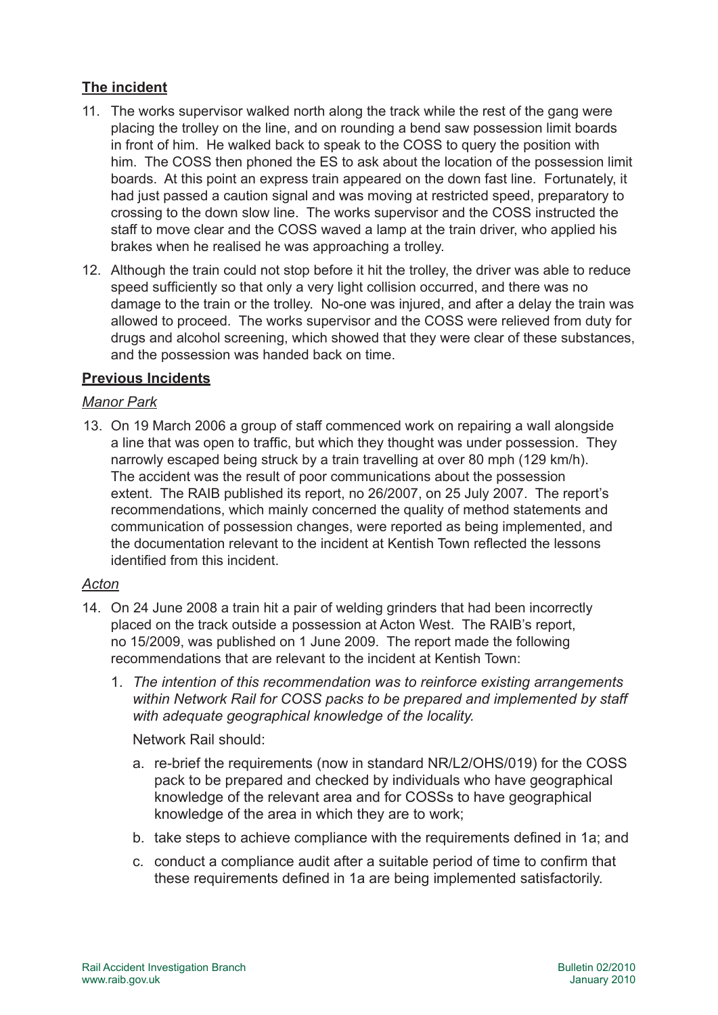# **The incident**

- 11. The works supervisor walked north along the track while the rest of the gang were placing the trolley on the line, and on rounding a bend saw possession limit boards in front of him. He walked back to speak to the COSS to query the position with him. The COSS then phoned the ES to ask about the location of the possession limit boards. At this point an express train appeared on the down fast line. Fortunately, it had just passed a caution signal and was moving at restricted speed, preparatory to crossing to the down slow line. The works supervisor and the COSS instructed the staff to move clear and the COSS waved a lamp at the train driver, who applied his brakes when he realised he was approaching a trolley.
- 12. Although the train could not stop before it hit the trolley, the driver was able to reduce speed sufficiently so that only a very light collision occurred, and there was no damage to the train or the trolley. No-one was injured, and after a delay the train was allowed to proceed. The works supervisor and the COSS were relieved from duty for drugs and alcohol screening, which showed that they were clear of these substances, and the possession was handed back on time.

#### **Previous Incidents**

#### *Manor Park*

13. On 19 March 2006 a group of staff commenced work on repairing a wall alongside a line that was open to traffic, but which they thought was under possession. They narrowly escaped being struck by a train travelling at over 80 mph (129 km/h). The accident was the result of poor communications about the possession extent. The RAIB published its report, no 26/2007, on 25 July 2007. The report's recommendations, which mainly concerned the quality of method statements and communication of possession changes, were reported as being implemented, and the documentation relevant to the incident at Kentish Town reflected the lessons identified from this incident.

#### *Acton*

- 14. On 24 June 2008 a train hit a pair of welding grinders that had been incorrectly placed on the track outside a possession at Acton West. The RAIB's report, no 15/2009, was published on 1 June 2009. The report made the following recommendations that are relevant to the incident at Kentish Town:
	- 1. *The intention of this recommendation was to reinforce existing arrangements within Network Rail for COSS packs to be prepared and implemented by staff with adequate geographical knowledge of the locality.*

Network Rail should:

- a. re-brief the requirements (now in standard NR/L2/OHS/019) for the COSS pack to be prepared and checked by individuals who have geographical knowledge of the relevant area and for COSSs to have geographical knowledge of the area in which they are to work;
- b. take steps to achieve compliance with the requirements defined in 1a; and
- c. conduct a compliance audit after a suitable period of time to confirm that these requirements defined in 1a are being implemented satisfactorily.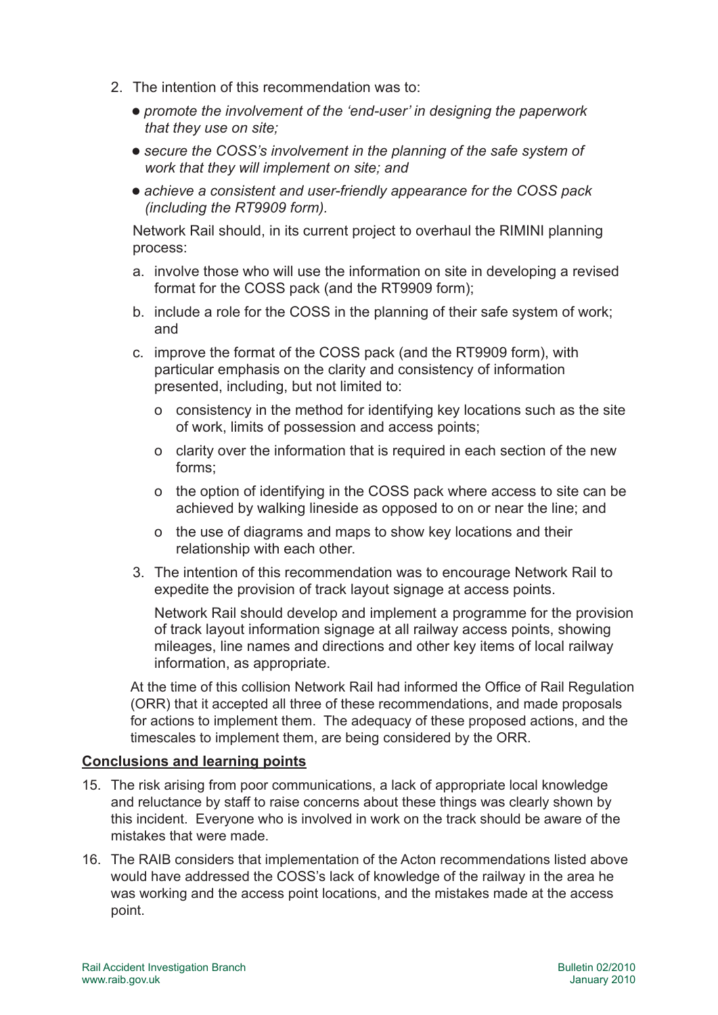- 2. The intention of this recommendation was to:
	- l *promote the involvement of the 'end-user' in designing the paperwork that they use on site;*
	- $\bullet$  secure the COSS's involvement in the planning of the safe system of *work that they will implement on site; and*
	- achieve a consistent and user-friendly appearance for the COSS pack *(including the RT9909 form).*

Network Rail should, in its current project to overhaul the RIMINI planning process:

- a. involve those who will use the information on site in developing a revised format for the COSS pack (and the RT9909 form);
- b. include a role for the COSS in the planning of their safe system of work; and
- c. improve the format of the COSS pack (and the RT9909 form), with particular emphasis on the clarity and consistency of information presented, including, but not limited to:
	- o consistency in the method for identifying key locations such as the site of work, limits of possession and access points;
	- o clarity over the information that is required in each section of the new forms;
	- o the option of identifying in the COSS pack where access to site can be achieved by walking lineside as opposed to on or near the line; and
	- o the use of diagrams and maps to show key locations and their relationship with each other.
- 3. The intention of this recommendation was to encourage Network Rail to expedite the provision of track layout signage at access points.

Network Rail should develop and implement a programme for the provision of track layout information signage at all railway access points, showing mileages, line names and directions and other key items of local railway information, as appropriate.

At the time of this collision Network Rail had informed the Office of Rail Regulation (ORR) that it accepted all three of these recommendations, and made proposals for actions to implement them. The adequacy of these proposed actions, and the timescales to implement them, are being considered by the ORR.

#### **Conclusions and learning points**

- 15. The risk arising from poor communications, a lack of appropriate local knowledge and reluctance by staff to raise concerns about these things was clearly shown by this incident. Everyone who is involved in work on the track should be aware of the mistakes that were made.
- 16. The RAIB considers that implementation of the Acton recommendations listed above would have addressed the COSS's lack of knowledge of the railway in the area he was working and the access point locations, and the mistakes made at the access point.